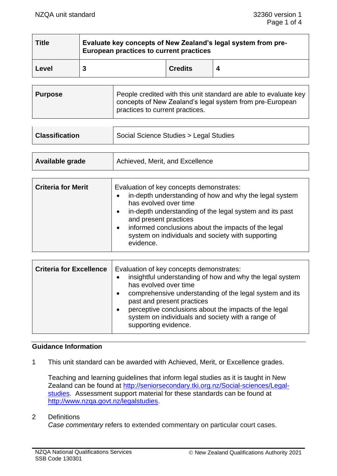| <b>Title</b> | Evaluate key concepts of New Zealand's legal system from pre-<br>European practices to current practices |                |  |
|--------------|----------------------------------------------------------------------------------------------------------|----------------|--|
| Level        | 3                                                                                                        | <b>Credits</b> |  |

| <b>Purpose</b> | People credited with this unit standard are able to evaluate key<br>concepts of New Zealand's legal system from pre-European<br>practices to current practices. |
|----------------|-----------------------------------------------------------------------------------------------------------------------------------------------------------------|
|----------------|-----------------------------------------------------------------------------------------------------------------------------------------------------------------|

| <b>Classification</b> | Social Science Studies > Legal Studies |
|-----------------------|----------------------------------------|
|                       |                                        |

| Available grade | Achieved, Merit, and Excellence |
|-----------------|---------------------------------|
|                 |                                 |

| <b>Criteria for Merit</b> | Evaluation of key concepts demonstrates:<br>in-depth understanding of how and why the legal system<br>has evolved over time<br>in-depth understanding of the legal system and its past<br>$\bullet$<br>and present practices<br>informed conclusions about the impacts of the legal<br>$\bullet$<br>system on individuals and society with supporting<br>evidence. |
|---------------------------|--------------------------------------------------------------------------------------------------------------------------------------------------------------------------------------------------------------------------------------------------------------------------------------------------------------------------------------------------------------------|
|                           |                                                                                                                                                                                                                                                                                                                                                                    |

| <b>Criteria for Excellence</b> | Evaluation of key concepts demonstrates:<br>insightful understanding of how and why the legal system<br>has evolved over time<br>comprehensive understanding of the legal system and its<br>past and present practices<br>perceptive conclusions about the impacts of the legal<br>system on individuals and society with a range of<br>supporting evidence. |
|--------------------------------|--------------------------------------------------------------------------------------------------------------------------------------------------------------------------------------------------------------------------------------------------------------------------------------------------------------------------------------------------------------|
|--------------------------------|--------------------------------------------------------------------------------------------------------------------------------------------------------------------------------------------------------------------------------------------------------------------------------------------------------------------------------------------------------------|

# **Guidance Information**

1 This unit standard can be awarded with Achieved, Merit, or Excellence grades.

Teaching and learning guidelines that inform legal studies as it is taught in New Zealand can be found at [http://seniorsecondary.tki.org.nz/Social-sciences/Legal](http://seniorsecondary.tki.org.nz/Social-sciences/Legal-studies)[studies.](http://seniorsecondary.tki.org.nz/Social-sciences/Legal-studies) Assessment support material for these standards can be found at [http://www.nzqa.govt.nz/legalstudies.](http://www.nzqa.govt.nz/legalstudies)

#### 2 Definitions

*Case commentary* refers to extended commentary on particular court cases.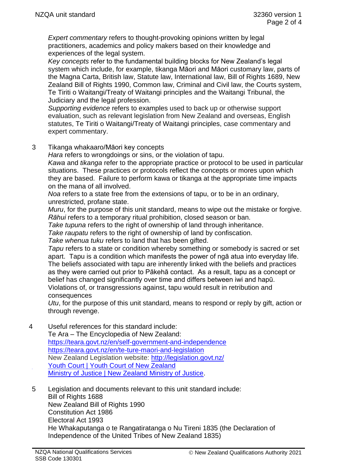*Expert commentary* refers to thought-provoking opinions written by legal practitioners, academics and policy makers based on their knowledge and experiences of the legal system.

*Key concepts* refer to the fundamental building blocks for New Zealand's legal system which include, for example, tikanga Māori and Māori customary law, parts of the Magna Carta, British law, Statute law, International law, Bill of Rights 1689, New Zealand Bill of Rights 1990, Common law, Criminal and Civil law, the Courts system, Te Tiriti o Waitangi/Treaty of Waitangi principles and the Waitangi Tribunal, the Judiciary and the legal profession.

*Supporting evidence* refers to examples used to back up or otherwise support evaluation, such as relevant legislation from New Zealand and overseas, English statutes, Te Tiriti o Waitangi/Treaty of Waitangi principles, case commentary and expert commentary.

3 Tikanga whakaaro/Māori key concepts

*Hara* refers to wrongdoings or sins, or the violation of tapu.

*Kawa* and *tikanga* refer to the appropriate practice or protocol to be used in particular situations. These practices or protocols reflect the concepts or mores upon which they are based. Failure to perform kawa or tikanga at the appropriate time impacts on the mana of all involved.

*Noa* refers to a state free from the extensions of tapu, or to be in an ordinary, unrestricted, profane state.

*Muru*, for the purpose of this unit standard, means to wipe out the mistake or forgive. *Rāhui* refers to a temporary ritual prohibition, closed season or ban.

*Take tupuna* refers to the right of ownership of land through inheritance.

*Take raupatu* refers to the right of ownership of land by confiscation.

*Take whenua tuku* refers to land that has been gifted.

*Tapu* refers to a state or condition whereby something or somebody is sacred or set apart. Tapu is a condition which manifests the power of ngā atua into everyday life. The beliefs associated with tapu are inherently linked with the beliefs and practices as they were carried out prior to Pākehā contact. As a result, tapu as a concept or belief has changed significantly over time and differs between iwi and hapū. Violations of, or transgressions against, tapu would result in retribution and consequences

*Utu*, for the purpose of this unit standard, means to respond or reply by gift, action or through revenge.

4 Useful references for this standard include:

Te Ara – The Encyclopedia of New Zealand: <https://teara.govt.nz/en/self-government-and-independence> <https://teara.govt.nz/en/te-ture-maori-and-legislation> New Zealand Legislation website: <http://legislation.govt.nz/> [Youth Court | Youth Court of New Zealand](https://www.youthcourt.govt.nz/) [Ministry of Justice | New Zealand Ministry of Justice.](https://www.justice.govt.nz/)

5 Legislation and documents relevant to this unit standard include: Bill of Rights 1688 New Zealand Bill of Rights 1990 Constitution Act 1986 Electoral Act 1993 He Whakaputanga o te Rangatiratanga o Nu Tireni 1835 (the Declaration of Independence of the United Tribes of New Zealand 1835)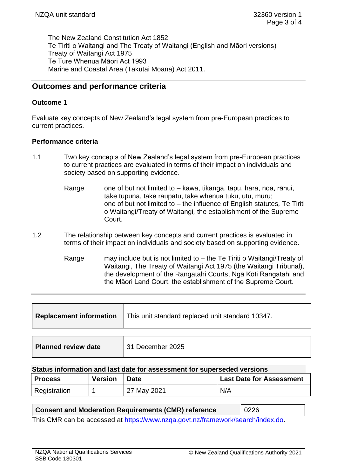The New Zealand Constitution Act 1852 Te Tiriti o Waitangi and The Treaty of Waitangi (English and Māori versions) Treaty of Waitangi Act 1975 Te Ture Whenua Māori Act 1993 Marine and Coastal Area (Takutai Moana) Act 2011.

# **Outcomes and performance criteria**

#### **Outcome 1**

Evaluate key concepts of New Zealand's legal system from pre-European practices to current practices.

### **Performance criteria**

- 1.1 Two key concepts of New Zealand's legal system from pre-European practices to current practices are evaluated in terms of their impact on individuals and society based on supporting evidence.
	- Range one of but not limited to kawa, tikanga, tapu, hara, noa, rāhui, take tupuna, take raupatu, take whenua tuku, utu, muru; one of but not limited to – the influence of English statutes*,* Te Tiriti o Waitangi/Treaty of Waitangi*,* the establishment of the Supreme Court.
- 1.2 The relationship between key concepts and current practices is evaluated in terms of their impact on individuals and society based on supporting evidence.
	- Range may include but is not limited to  $-$  the Te Tiriti o Waitangi/Treaty of Waitangi, The Treaty of Waitangi Act 1975 (the Waitangi Tribunal), the development of the Rangatahi Courts, Ngā Kōti Rangatahi and the Māori Land Court, the establishment of the Supreme Court.

| <b>Replacement information</b> | This unit standard replaced unit standard 10347. |
|--------------------------------|--------------------------------------------------|
|                                |                                                  |
| <b>Planned review date</b>     | 31 December 2025                                 |

#### **Status information and last date for assessment for superseded versions**

| <b>Process</b> | <b>Version</b> | <b>Date</b> | <b>Last Date for Assessment</b> |
|----------------|----------------|-------------|---------------------------------|
| Registration   |                | 27 May 2021 | N/A                             |

| Consent and Moderation Requirements (CMR) reference                             | $\vert$ 0226 |  |
|---------------------------------------------------------------------------------|--------------|--|
| This CMR can be accessed at https://www.nzga.govt.nz/framework/search/index.do. |              |  |